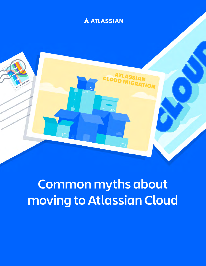# **A ATLASSIAN**



# **Common myths about moving to Atlassian Cloud**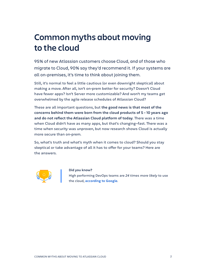# **Common myths about moving to the cloud**

95% of new Atlassian customers choose Cloud, and of those who migrate to Cloud, 90% say they'd recommend it. If your systems are all on-premises, it's time to think about joining them.

Still, it's normal to feel a little cautious (or even downright skeptical) about making a move. After all, isn't on-prem better for security? Doesn't Cloud have fewer apps? Isn't Server more customizable? And won't my teams get overwhelmed by the agile release schedules of Atlassian Cloud?

These are all important questions, but **the good news is that most of the concerns behind them were born from the cloud products of 5 - 10 years ago and do not reflect the Atlassian Cloud platform of today**. There was a time when Cloud didn't have as many apps, but that's changing-fast. There was a time when security was unproven, but now research shows Cloud is actually more secure than on-prem.

So, what's truth and what's myth when it comes to cloud? Should you stay skeptical or take advantage of all it has to offer for your teams? Here are the answers.



### **Did you know?**

High performing DevOps teams are *24 times more likely* to use the cloud, **[according to Google](https://cloud.google.com/blog/products/devops-sre/the-2019-accelerate-state-of-devops-elite-performance-productivity-and-scaling)**.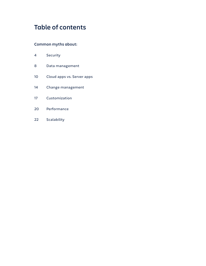# **Table of contents**

# **Common myths about:**

- Security
- Data management
- Cloud apps vs. Server apps
- Change management
- Customization
- Performance
- Scalability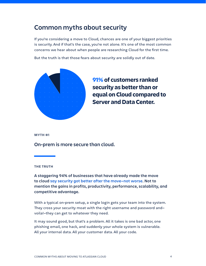# **Common myths about security**

If you're considering a move to Cloud, chances are one of your biggest priorities is security. And if that's the case, you're not alone. It's one of the most common concerns we hear about when people are researching Cloud for the first time.

But the truth is that those fears about security are solidly out of date.



**91% of customers ranked security as better than or equal on Cloud compared to Server and Data Center.**

### **MYTH #1**

**On-prem is more secure than cloud.**

### **THE TRUTH**

**A staggering 94% of businesses that have already made the move to cloud [say security got better after the move—not worse](https://www.salesforce.com/products/platform/best-practices/benefits-of-cloud-computing/). Not to mention the gains in profits, productivity, performance, scalability, and competitive advantage.**

With a typical on-prem setup, a single login gets your team into the system. They cross your security moat with the right username and password and voila!—they can get to whatever they need.

It may sound good, but that's a problem. All it takes is one bad actor, one phishing email, one hack, and suddenly your whole system is vulnerable. All your internal data. All your customer data. All your code.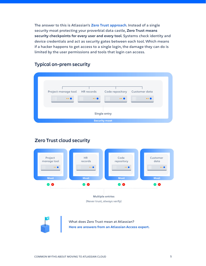The answer to this is Atlassian's **[Zero Trust approach](http://atlassian.com/whitepapers/zero-trust-guide)**. Instead of a single security moat protecting your proverbial data castle, **Zero Trust means security checkpoints for every user and every tool**. Systems check identity and device credentials and act as security gates between each tool. Which means if a hacker happens to get access to a single login, the damage they can do is limited by the user permissions and tools that login can access.

# **Typical on-prem security**

| Project manage tool  | <b>HR</b> records | Code repository | Customer data |
|----------------------|-------------------|-----------------|---------------|
| $\cdots$             | $\cdots$          | Ш<br>$\cdots$   | $\cdots$      |
| <b>Single entry</b>  |                   |                 |               |
| <b>Security moat</b> |                   |                 |               |

# **Zero Trust cloud security**



What does Zero Trust mean at Atlassian? **[Here are answers from an Atlassian Access expert.](https://www.atlassian.com/blog/access/zero-trust-security)**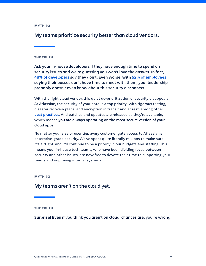**My teams prioritize security better than cloud vendors.**

# **THE TRUTH**

**Ask your in-house developers if they have enough time to spend on security issues and we're guessing you won't love the answer. In fact, [48% of developers](https://www.sonatype.com/2018survey) say they don't. Even worse, with [52% of employees](https://www.inc.com/marcel-schwantes/survey-91-percent-of-1000-employees-say-their-boss.html) saying their bosses don't have time to meet with them, your leadership probably doesn't even know about this security disconnect.**

With the right cloud vendor, this quiet de-prioritization of security disappears. At Atlassian, the security of your data is a top priority—with rigorous testing, disaster recovery plans, and encryption in transit and at rest, among other **best [practices](https://www.atlassian.com/trust/security)**. And patches and updates are released as they're available, which means **you are always operating on the most secure version of your cloud apps**.

No matter your size or user tier, every customer gets access to Atlassian's enterprise-grade security. We've spent quite literally millions to make sure it's airtight, and it'll continue to be a priority in our budgets and staffing. This means your in-house tech teams, who have been dividing focus between security and other issues, are now free to devote their time to supporting your teams and improving internal systems.

### **MYTH #3**

# **My teams aren't on the cloud yet.**

#### **THE TRUTH**

**Surprise! Even if you think you aren't on cloud, chances are, you're wrong.**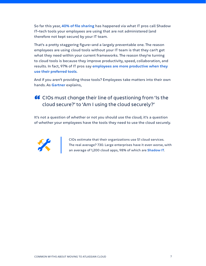So far this year, **[40% of file sharing](https://awakesecurity.com/blog/covid-19-security-impact-rise-of-shadow-it/)** has happened via what IT pros call Shadow IT—tech tools your employees are using that are not administered (and therefore not kept secure) by your IT team.

That's a pretty staggering figure—and a largely preventable one. The reason employees are using cloud tools without your IT team is that they can't get what they need within your current frameworks. The reason they're turning to cloud tools is because they improve productivity, speed, collaboration, and results. In fact, 97% of IT pros say **[employees are more productive when they](https://www.atlassian.com/blog/technology/shadow-it-balancing-rules-and-culture)  [use their preferred tools](https://www.atlassian.com/blog/technology/shadow-it-balancing-rules-and-culture)**.

And if you aren't providing those tools? Employees take matters into their own hands. As **[Gartner](https://www.gartner.com/smarterwithgartner/is-the-cloud-secure/)** explains,

# 66 CIOs must change their line of questioning from 'Is the cloud secure?' to 'Am I using the cloud securely?'

It's not a question of whether or not you should use the cloud; it's a question of whether your employees have the tools they need to use the cloud securely.



CIOs estimate that their organizations use 51 cloud services. The real average? 730. Large enterprises have it even worse, with an average of 1,200 cloud apps, 98% of which are **[Shadow IT](https://www.atlassian.com/blog/technology/understanding-the-risks-and-benefits-of-shadow-it)**.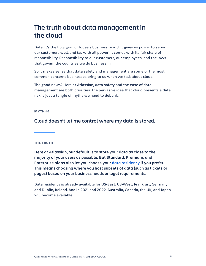# **The truth about data management in the cloud**

Data. It's the holy grail of today's business world. It gives us power to serve our customers well, and (as with all power) it comes with its fair share of responsibility. Responsibility to our customers, our employees, and the laws that govern the countries we do business in.

So it makes sense that data safety and management are some of the most common concerns businesses bring to us when we talk about cloud.

The good news? Here at Atlassian, data safety and the ease of data management are both priorities. The pervasive idea that cloud presents a data risk is just a tangle of myths we need to debunk.

# **MYTH #1**

**Cloud doesn't let me control where my data is stored.**

# **THE TRUTH**

**Here at Atlassian, our default is to store your data as close to the majority of your users as possible. But Standard, Premium, and Enterprise plans also let you choose your [data residency](https://community.atlassian.com/t5/Feedback-Forum-articles/Announcing-Data-Residency-for-Standard-and-Premium-licenses/ba-p/1732876) if you prefer. This means choosing where you host subsets of data (such as tickets or pages) based on your business needs or legal requirements.**

Data residency is already available for US-East; US-West; Frankfurt, Germany; and Dublin, Ireland. And in 2021 and 2022, Australia, Canada, the UK, and Japan will become available.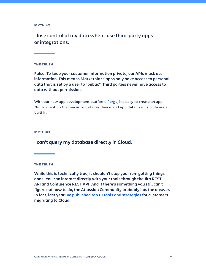**I lose control of my data when I use third-party apps or integrations.**

# **THE TRUTH**

**False! To keep your customer information private, our APIs mask user information. This means Marketplace apps only have access to personal data that is set by a user to "public". Third parties never have access to data without permission.**

With our new app development platform, **[Forge](https://www.atlassian.com/blog/announcements/forge-launch)**, it's easy to create an app. Not to mention that security, data residency, and app data use visibility are all built in.

#### **MYTH #3**

# **I can't query my database directly in Cloud.**

**THE TRUTH**

**While this is technically true, it shouldn't stop you from getting things done. You can interact directly with your tools through the Jira REST API and Confluence REST API. And if there's something you still can't figure out how to do, the Atlassian Community probably has the answer. In fact, last year [we published top BI tools and strategies](https://community.atlassian.com/t5/Atlassian-Cloud-Migration/Evaluating-Jira-Cloud-with-BI-tools-Here-are-some-options-to/ba-p/1253333) for customers migrating to Cloud.**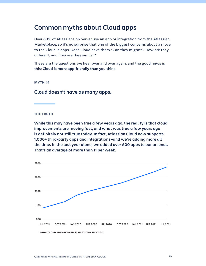# **Common myths about Cloud apps**

Over 60% of Atlassians on Server use an app or integration from the Atlassian Marketplace, so it's no surprise that one of the biggest concerns about a move to the Cloud is apps. Does Cloud have them? Can they migrate? How are they different, and how are they similar?

These are the questions we hear over and over again, and the good news is this: **Cloud is more app-friendly than you think.**

#### **MYTH #1**

# **Cloud doesn't have as many apps.**

### **THE TRUTH**

**While this may have been true a few years ago, the reality is that cloud improvements are moving fast, and what was true a few years ago is definitely not still true today. In fact, Atlassian Cloud now supports 1,000+ third-party apps and integrations—and we're adding more all the time. In the last year alone, we added over 600 apps to our arsenal. That's an average of more than 11 per week.**

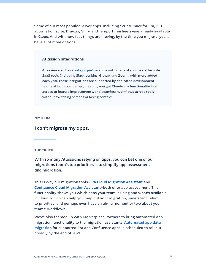Some of our most popular Server apps—including Scriptrunner for Jira, JSU automation suite, Draw.io, Gliffy, and Tempo Timesheets—are already available in Cloud. And with how fast things are moving, by the time you migrate, you'll have a lot more options.

# **Atlassian integrations**

Atlassian also has **[strategic partnerships](https://www.atlassian.com/partnerships)** with many of your users' favorite SaaS tools (including Slack, Jenkins, Github, and Zoom), with more added each year. These integrations are supported by dedicated development teams at both companies, meaning you get Cloud-only functionality, first access to feature improvements, and seamless workflows across tools without switching screens or losing context.

#### **MYTH #2**

# **I can't migrate my apps.**

# **THE TRUTH**

**With so many Atlassians relying on apps, you can bet one of our migrations team's top priorities is to simplify app assessment and migration.**

This is why our migration tools—**[Jira Cloud Migration Assistant](https://marketplace.atlassian.com/apps/1222010/jira-cloud-migration-assistant?hosting=server&tab=overview)** and **Confluence [Cloud Migration Assistant](https://marketplace.atlassian.com/apps/1219672/confluence-cloud-migration-assistant?hosting=server&tab=overview)**—both offer app assessment. This functionality shows you which apps your team is using and what's available in Cloud, which can help you map out your migration, understand what to prioritize, and perhaps even have an ah-ha moment or two about your teams' workflows.

We've also teamed up with Marketplace Partners to bring automated app migration functionality to the migration assistants. **[Automated app data](https://www.atlassian.com/blog/platform/automated-app-migration)  [migration](https://www.atlassian.com/blog/platform/automated-app-migration)** for supported Jira and Confluence apps is scheduled to roll out broadly by the end of 2021.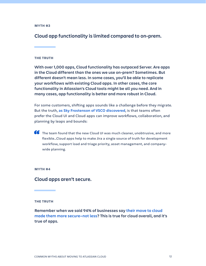**Cloud app functionality is limited compared to on-prem.**

# **THE TRUTH**

**With over 1,000 apps, Cloud functionality has outpaced Server. Are apps in the Cloud different than the ones we use on-prem? Sometimes. But different doesn't mean less. In some cases, you'll be able to replicate your workflows with existing Cloud apps. In other cases, the core functionality in Atlassian's Cloud tools might be all you need. And in many cases, app functionality is better and more robust in Cloud.**

For some customers, shifting apps sounds like a challenge before they migrate. But the truth, **[as Sky Frostenson of VSCO discovered](https://www.atlassian.com/customers/vsco)**, is that teams often prefer the Cloud UI and Cloud apps can improve workflows, collaboration, and planning by leaps and bounds:

**66** The team found that the new Cloud UI was much cleaner, unobtrusive, and more flexible…Cloud apps help to make Jira a single source of truth for development workflow, support load and triage priority, asset management, and companywide planning.

### **MYTH #4**

# **Cloud apps aren't secure.**

# **THE TRUTH**

**Remember when we said 94% of businesses say [their move to cloud](https://www.salesforce.com/products/platform/best-practices/benefits-of-cloud-computing/)  [made them more secure—not less](https://www.salesforce.com/products/platform/best-practices/benefits-of-cloud-computing/)? This is true for cloud overall, and it's true of apps.**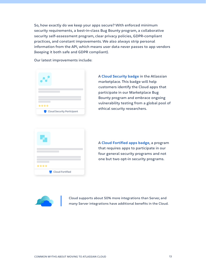So, how exactly do we keep your apps secure? With enforced minimum security requirements, a best-in-class Bug Bounty program, a collaborative security self-assessment program, clear privacy policies, GDPR-compliant practices, and constant improvements. We also always strip personal information from the API, which means user data never passes to app vendors (keeping it both safe and GDPR compliant).

Our latest improvements include:



A **[Cloud Security badge](https://www.atlassian.com/blog/add-ons/marketplace-cloud-security-participant-badge)** in the Atlassian marketplace. This badge will help customers identify the Cloud apps that participate in our Marketplace Bug Bounty program and embrace ongoing vulnerability testing from a global pool of ethical security researchers.



A **[Cloud Fortified apps badge](https://www.atlassian.com/blog/add-ons/introducing-cloud-fortified)**, a program that requires apps to participate in our four general security programs and not one but two opt-in security programs.



Cloud supports about 50% more integrations than Server, and many Server integrations have additional benefits in the Cloud.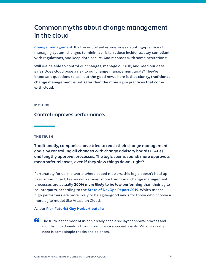# **Common myths about change management in the cloud**

**[Change management](https://www.atlassian.com/itsm/change-management)**. It's the important—sometimes daunting—practice of managing system changes to minimize risks, reduce incidents, stay compliant with regulations, and keep data secure. And it comes with some hesitations:

Will we be able to control our changes, manage our risk, and keep our data safe? Does cloud pose a risk to our change management goals? They're important questions to ask, but the good news here is that **clunky, traditional change management is not safer than the more agile practices that come with cloud**.

### **MYTH #1**

# **Control improves performance.**

### **THE TRUTH**

**Traditionally, companies have tried to reach their change management goals by controlling all changes with change advisory boards (CABs) and lengthy approval processes. The logic seems sound: more approvals mean safer releases, even if they slow things down—right?**

Fortunately for us in a world where speed matters, this logic doesn't hold up to scrutiny. In fact, teams with slower, more traditional change management processes are actually **260% more likely to be low performing** than their agile counterparts, according to the **[State of DevOps Report 2019](https://services.google.com/fh/files/misc/state-of-devops-2019.pdf)**. Which means high performers are more likely to be agile—good news for those who choose a more agile model like Atlassian Cloud.

# As our **[Risk Futurist Guy Herbert puts it](https://community.atlassian.com/t5/Compliance-articles/Series-How-to-prioritize-compliance-without-losing-development/ba-p/1100861)**:

**66** The truth is that most of us don't really need a six-layer approval process and months of back-and-forth with compliance approval boards…What we really need is some simple checks and balances.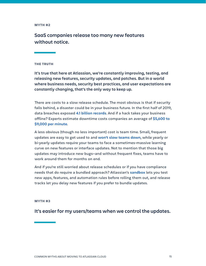**SaaS companies release too many new features without notice.**

# **THE TRUTH**

**It's true that here at Atlassian, we're constantly improving, testing, and releasing new features, security updates, and patches. But in a world where business needs, security best practices, and user expectations are constantly changing, that's the only way to keep up.**

There are costs to a slow release schedule. The most obvious is that if security falls behind, a disaster could be in your business future. In the first half of 2019, data breaches exposed **[4.1 billion records](https://www.varonis.com/blog/cybersecurity-statistics/)**. And if a hack takes your business offline? Experts estimate downtime costs companies an average of **[\\$5,600 to](https://www.atlassian.com/blog/platform/how-to-increase-profits-in-the-cloud)  [\\$9,000 per minute](https://www.atlassian.com/blog/platform/how-to-increase-profits-in-the-cloud)**.

A less obvious (though no less important) cost is team time. Small, frequent updates are easy to get used to and **[won't slow teams down](https://www.atlassian.com/blog/platform/4-ways-cloud-helps-future-proof-your-teams)**, while yearly or bi-yearly updates require your teams to face a sometimes-massive learning curve on new features or interface updates. Not to mention that those big updates may introduce new bugs—and without frequent fixes, teams have to work around them for months on end.

And if you're still worried about release schedules or if you have compliance needs that do require a bundled approach? Atlassian's **[sandbox](https://community.atlassian.com/t5/Confluence-articles/Using-Sandbox-amp-Release-tracks-in-Cloud-Premium/ba-p/1538255)** lets you test new apps, features, and automation rules before rolling them out, and release tracks let you delay new features if you prefer to bundle updates.

#### **MYTH #3**

**It's easier for my users/teams when we control the updates.**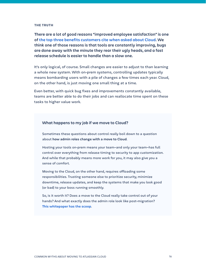#### **THE TRUTH**

**There are a lot of good reasons "improved employee satisfaction" is one of [the top three benefits customers cite when asked about Cloud](https://www.atlassian.com/blog/platform/top-five-benefits-of-cloud). We think one of those reasons is that tools are constantly improving, bugs are done away with the minute they rear their ugly heads, and a fast release schedule is easier to handle than a slow one.**

It's only logical, of course. Small changes are easier to adjust to than learning a whole new system. With on-prem systems, controlling updates typically means bombarding users with a pile of changes a few times each year. Cloud, on the other hand, is just moving one small thing at a time.

Even better, with quick bug fixes and improvements constantly available, teams are better able to do their jobs and can reallocate time spent on these tasks to higher value work.

# **What happens to my job if we move to Cloud?**

Sometimes these questions about control really boil down to a question about **how admin roles change with a move to Cloud**.

Hosting your tools on-prem means your team—and only your team—has full control over everything from release timing to security to app customization. And while that probably means more work for you, it may also give you a sense of comfort.

Moving to the Cloud, on the other hand, requires offloading some responsibilities. Trusting someone else to prioritize security, minimize downtime, release updates, and keep the systems that make you look good (or bad) to your boss running smoothly.

So, is it worth it? Does a move to the Cloud really take control out of your hands? And what exactly does the admin role look like post-migration? **[This whitepaper has the scoop](https://www.atlassian.com/whitepapers/becoming-an-atlassian-cloud-admin)**.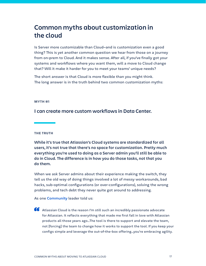# **Common myths about customization in the cloud**

Is Server more customizable than Cloud—and is customization even a good thing? This is yet another common question we hear from those on a journey from on-prem to Cloud. And it makes sense. After all, if you've finally got your systems and workflows where you want them, will a move to Cloud change that? Will it make it harder for you to meet your teams' unique needs?

The short answer is that Cloud is more flexible than you might think. The long answer is in the truth behind two common customization myths:

### **MYTH #1**

**I can create more custom workflows in Data Center.**

# **THE TRUTH**

**While it's true that Atlassian's Cloud systems are standardized for all users, it's not true that there's no space for customization. Pretty much everything you're used to doing as a Server admin you'll still be able to do in Cloud. The difference is in how you do those tasks, not that you do them.** 

When we ask Server admins about their experience making the switch, they tell us the old way of doing things involved a lot of messy workarounds, bad hacks, sub-optimal configurations (or over-configurations), solving the wrong problems, and tech debt they never quite got around to addressing.

As one **C[ommunity](https://community.atlassian.com/)** leader told us:

66 Atlassian Cloud is the reason I'm still such an incredibly passionate advocate for Atlassian. It reflects everything that made me first fall in love with Atlassian products all those years ago…The tool is there to support and elevate the team, not [forcing] the team to change how it works to support the tool. If you keep your configs simple and leverage the out-of-the-box offering…you're embracing agility.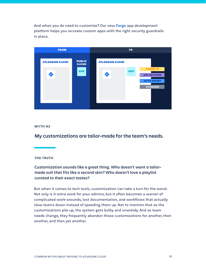And when you do need to customize? Our new **[Forge](https://developer.atlassian.com/platform/forge/)** app development platform helps you recreate custom apps with the right security guardrails in place.



# **MYTH #2**

**My customizations are tailor-made for the team's needs.**

### **THE TRUTH**

**Customization sounds like a great thing. Who doesn't want a tailormade suit that fits like a second skin? Who doesn't love a playlist curated to their exact tastes?**

But when it comes to tech tools, customization can take a turn for the worst. Not only is it extra work for your admins, but it often becomes a warren of complicated work-arounds, lost documentation, and workflows that actually slow teams down instead of speeding them up. Not to mention that as the customizations pile up, the system gets bulky and unwieldy. And as team needs change, they frequently abandon those customizations for another, then another, and then yet another.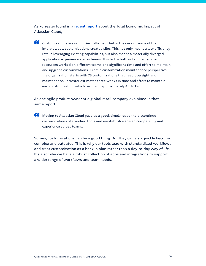As Forrester found in a **[recent report](https://www.atlassian.com/whitepapers/forrester-tei-atlassian-cloud)** about the Total Economic Impact of Atlassian Cloud,

66 Customizations are not intrinsically 'bad,' but in the case of some of the interviewees, customizations created silos. This not only meant a low efficiency rate in leveraging existing capabilities, but also meant a materially diverged application experience across teams. This led to both unfamiliarity when resources worked on different teams and significant time and effort to maintain and upgrade customizations...From a customization maintenance perspective, the organization starts with 75 customizations that need oversight and maintenance. Forrester estimates three weeks in time and effort to maintain each customization, which results in approximately 4.3 FTEs.

As one agile product owner at a global retail company explained in that same report:

66 Moving to Atlassian Cloud gave us a good, timely reason to discontinue customizations of standard tools and reestablish a shared competency and experience across teams.

So, yes, customizations can be a good thing. But they can also quickly become complex and outdated. This is why our tools lead with standardized workflows and treat customization as a backup plan rather than a day-to-day way of life. It's also why we have a robust collection of apps and integrations to support a wider range of workflows and team needs.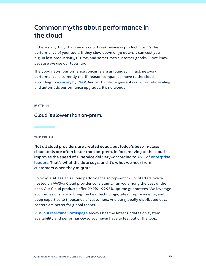# **Common myths about performance in the cloud**

If there's anything that can make or break business productivity, it's the performance of your tools. If they slow down or go down, it can cost you big—in lost productivity, IT time, and sometimes customer goodwill. We know because we use our tools, too!

The good news: performance concerns are unfounded. In fact, network performance is currently the #1 reason companies move to the cloud, according to **[a survey by INAP](https://www.inap.com/blog/reasons-cloud-data-center-migrations/)**. And with uptime guarantees, automatic scaling, and automatic performance upgrades, it's no wonder.

#### **MYTH #1**

# **Cloud is slower than on-prem.**

**THE TRUTH**

**Not all cloud providers are created equal, but today's best-in-class cloud tools are often faster than on-prem. In fact, moving to the cloud improves the speed of IT service delivery—according to [76% of enterprise](https://www.idg.com/tools-for-marketers/2018-cloud-computing-survey/)  [leaders](https://www.idg.com/tools-for-marketers/2018-cloud-computing-survey/). That's what the data says, and it's what we hear from customers when they migrate.**

So, why is Atlassian's Cloud performance so top-notch? For starters, we're hosted on AWS—a Cloud provider consistently ranked among the best of the best. Our Cloud products offer 99.9% - 99.95% uptime guarantees. We leverage economies of scale to bring the best technology, latest improvements, and deep expertise to thousands of customers. And our globally distributed data centers are better for global teams.

Plus, **[our real-time Statuspage](https://status.atlassian.com/)** always has the latest updates on system availability and performance—so you never have to feel out of the loop.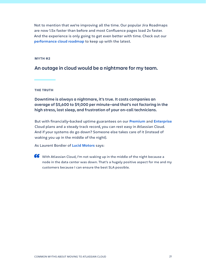Not to mention that we're improving all the time. Our popular Jira Roadmaps are now 1.5x faster than before and most Confluence pages load 2x faster. And the experience is only going to get even better with time. Check out our **[performance cloud roadmap](https://www.atlassian.com/roadmap/cloud?selectedProduct=&category=performanceReliability)** to keep up with the latest.

### **MYTH #2**

# **An outage in cloud would be a nightmare for my team.**

### **THE TRUTH**

**Downtime is always a nightmare, it's true. It costs companies an average of \$5,600 to \$9,000 per minute—and that's not factoring in the high stress, lost sleep, and frustration of your on-call technicians.**

But with financially-backed uptime guarantees on our **[Premium](https://www.atlassian.com/software/premium)** and **[Enterprise](https://www.atlassian.com/enterprise/cloud)** Cloud plans and a steady track record, you can rest easy in Atlassian Cloud. And if your systems do go down? Someone else takes care of it (instead of waking you up in the middle of the night).

As Laurent Bordier of **[Lucid Motors](https://www.atlassian.com/customers/lucid-motors)** says:

**66** With Atlassian Cloud, I'm not waking up in the middle of the night because a node in the data center was down. That's a hugely positive aspect for me and my customers because I can ensure the best SLA possible.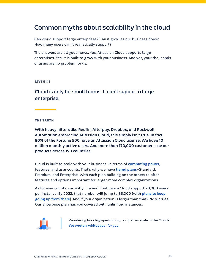# **Common myths about scalability in the cloud**

Can cloud support large enterprises? Can it grow as our business does? How many users can it realistically support?

The answers are all good news. Yes, Atlassian Cloud supports large enterprises. Yes, it is built to grow with your business. And yes, your thousands of users are no problem for us.

# **MYTH #1**

**Cloud is only for small teams. It can't support a large enterprise.**

# **THE TRUTH**

**With heavy hitters like Redfin, Afterpay, Dropbox, and Rockwell Automation embracing Atlassian Cloud, this simply isn't true. In fact, 80% of the Fortune 500 have an Atlassian Cloud license. We have 10 million monthly active users. And more than 170,000 customers use our products across 190 countries.**

Cloud is built to scale with your business—in terms of **[computing power](https://www.atlassian.com/blog/platform/how-to-scale-in-the-cloud)**, features, and user counts. That's why we have **[tiered plans](https://www.atlassian.com/cloud-migration/explore-cloud)**—Standard, Premium, and Enterprise—with each plan building on the others to offer features and options important for larger, more complex organizations.

As for user counts, currently, Jira and Confluence Cloud support 20,000 users per instance. By 2022, that number will jump to 35,000 (with **[plans to keep](https://www.atlassian.com/roadmap/cloud?category=cloudUserLimits&search=)  [going up from there](https://www.atlassian.com/roadmap/cloud?category=cloudUserLimits&search=)**). And if your organization is larger than that? No worries. Our Enterprise plan has you covered with unlimited instances.



Wondering how high-performing companies scale in the Cloud? **[We wrote a whitepaper for you.](https://www.atlassian.com/whitepapers/how-to-scale-cloud)**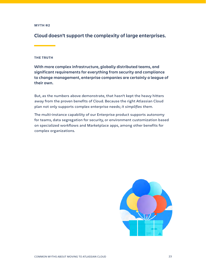**Cloud doesn't support the complexity of large enterprises.**

# **THE TRUTH**

**With more complex infrastructure, globally distributed teams, and significant requirements for everything from security and compliance to change management, enterprise companies are certainly a league of their own.** 

But, as the numbers above demonstrate, that hasn't kept the heavy hitters away from the proven benefits of Cloud. Because the right Atlassian Cloud plan not only supports complex enterprise needs; *it simplifies them*.

The multi-instance capability of our Enterprise product supports autonomy for teams, data segregation for security, or environment customization based on specialized workflows and Marketplace apps, among other benefits for complex organizations.